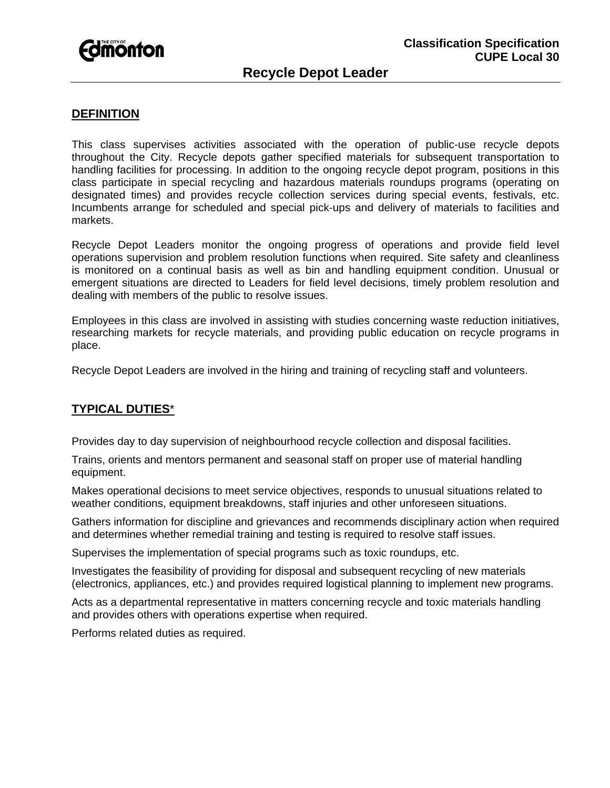

# **DEFINITION**

This class supervises activities associated with the operation of public-use recycle depots throughout the City. Recycle depots gather specified materials for subsequent transportation to handling facilities for processing. In addition to the ongoing recycle depot program, positions in this class participate in special recycling and hazardous materials roundups programs (operating on designated times) and provides recycle collection services during special events, festivals, etc. Incumbents arrange for scheduled and special pick-ups and delivery of materials to facilities and markets.

Recycle Depot Leaders monitor the ongoing progress of operations and provide field level operations supervision and problem resolution functions when required. Site safety and cleanliness is monitored on a continual basis as well as bin and handling equipment condition. Unusual or emergent situations are directed to Leaders for field level decisions, timely problem resolution and dealing with members of the public to resolve issues.

Employees in this class are involved in assisting with studies concerning waste reduction initiatives, researching markets for recycle materials, and providing public education on recycle programs in place.

Recycle Depot Leaders are involved in the hiring and training of recycling staff and volunteers.

#### **TYPICAL DUTIES**\*

Provides day to day supervision of neighbourhood recycle collection and disposal facilities.

Trains, orients and mentors permanent and seasonal staff on proper use of material handling equipment.

Makes operational decisions to meet service objectives, responds to unusual situations related to weather conditions, equipment breakdowns, staff injuries and other unforeseen situations.

Gathers information for discipline and grievances and recommends disciplinary action when required and determines whether remedial training and testing is required to resolve staff issues.

Supervises the implementation of special programs such as toxic roundups, etc.

Investigates the feasibility of providing for disposal and subsequent recycling of new materials (electronics, appliances, etc.) and provides required logistical planning to implement new programs.

Acts as a departmental representative in matters concerning recycle and toxic materials handling and provides others with operations expertise when required.

Performs related duties as required.